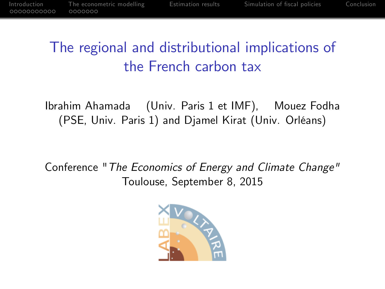# The regional and distributional implications of the French carbon tax

Ibrahim Ahamada (Univ. Paris 1 et IMF), Mouez Fodha (PSE, Univ. Paris 1) and Djamel Kirat (Univ. Orléans)

Conference "The Economics of Energy and Climate Change" Toulouse, September 8, 2015

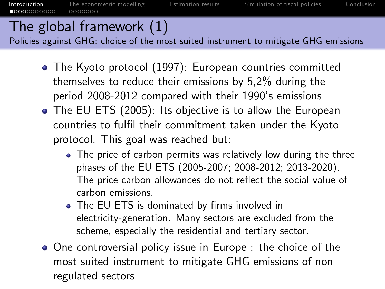# The global framework (1)

Policies against GHG: choice of the most suited instrument to mitigate GHG emissions

- The Kyoto protocol (1997): European countries committed themselves to reduce their emissions by 5,2% during the period 2008-2012 compared with their 1990's emissions
- The EU ETS (2005): Its objective is to allow the European countries to fulfil their commitment taken under the Kyoto protocol. This goal was reached but:
	- The price of carbon permits was relatively low during the three phases of the EU ETS (2005-2007; 2008-2012; 2013-2020). The price carbon allowances do not reflect the social value of carbon emissions.
	- The EU ETS is dominated by firms involved in electricity-generation. Many sectors are excluded from the scheme, especially the residential and tertiary sector.
- <span id="page-1-0"></span>• One controversial policy issue in Europe : the choice of the most suited instrument to mitigate GHG emissions of non regulated sectors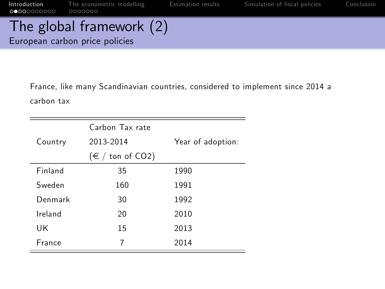The global framework (2) European carbon price policies

> France, like many Scandinavian countries, considered to implement since 2014 a carbon tax

|               | Carbon Tax rate             |                   |  |
|---------------|-----------------------------|-------------------|--|
| Country       | 2013-2014                   | Year of adoption: |  |
|               | $(\in / \text{ton of CO2})$ |                   |  |
| Finland       | 35                          | 1990              |  |
| Sweden        | 160                         | 1991              |  |
| Denmark       | 30                          | 1992              |  |
| Ireland       | 20                          | 2010              |  |
| UK            | 15                          | 2013              |  |
| <b>France</b> | 7                           | 2014              |  |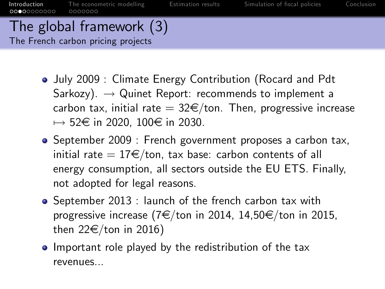#### The global framework (3) The French carbon pricing projects

- July 2009 : Climate Energy Contribution (Rocard and Pdt Sarkozy).  $\rightarrow$  Quinet Report: recommends to implement a carbon tax, initial rate  $= 32 \times / \tan$ . Then, progressive increase  $\mapsto$  52 $\in$  in 2020, 100 $\in$  in 2030.
- September 2009 : French government proposes a carbon tax, initial rate  $= 17 \epsilon / \tau$ ton, tax base: carbon contents of all energy consumption, all sectors outside the EU ETS. Finally, not adopted for legal reasons.
- September 2013 : launch of the french carbon tax with progressive increase (7 $\in$ /ton in 2014, 14,50 $\in$ /ton in 2015, then  $22 \in$ /ton in 2016)
- Important role played by the redistribution of the tax revenues...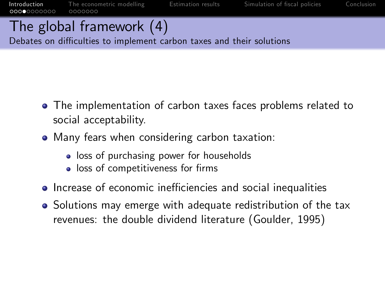$00000000000$ 

[Introduction](#page-1-0) [The econometric modelling](#page-12-0) [Estimation results](#page-19-0) Simulation of fiscal policies [Conclusion](#page-28-0)<br>00000000000 0000000

# The global framework (4)

Debates on difficulties to implement carbon taxes and their solutions

- The implementation of carbon taxes faces problems related to social acceptability.
- Many fears when considering carbon taxation:
	- loss of purchasing power for households
	- $\bullet$  loss of competitiveness for firms
- Increase of economic inefficiencies and social inequalities
- Solutions may emerge with adequate redistribution of the tax revenues: the double dividend literature (Goulder, 1995)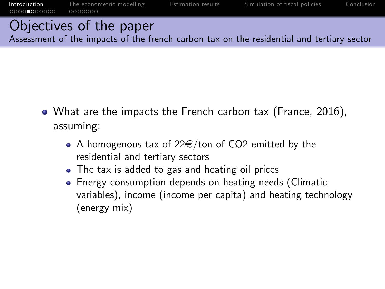# Objectives of the paper

Assessment of the impacts of the french carbon tax on the residential and tertiary sector

- What are the impacts the French carbon tax (France, 2016), assuming:
	- A homogenous tax of  $22 \in$ /ton of CO2 emitted by the residential and tertiary sectors
	- The tax is added to gas and heating oil prices
	- Energy consumption depends on heating needs (Climatic variables), income (income per capita) and heating technology (energy mix)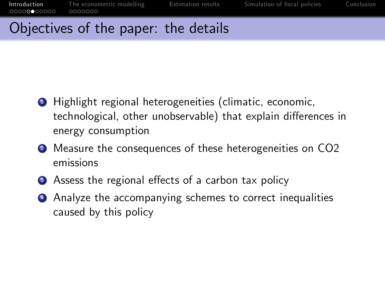### Objectives of the paper: the details

- <sup>1</sup> Highlight regional heterogeneities (climatic, economic, technological, other unobservable) that explain differences in energy consumption
- <sup>2</sup> Measure the consequences of these heterogeneities on CO2 emissions
- <sup>3</sup> Assess the regional effects of a carbon tax policy
- <sup>4</sup> Analyze the accompanying schemes to correct inequalities caused by this policy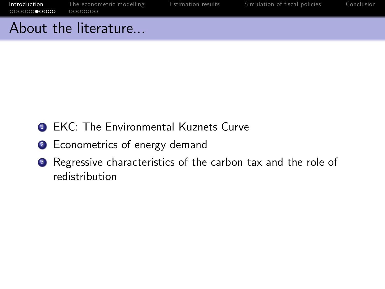### About the literature...

- **1 EKC: The Environmental Kuznets Curve**
- <sup>2</sup> Econometrics of energy demand
- <sup>3</sup> Regressive characteristics of the carbon tax and the role of redistribution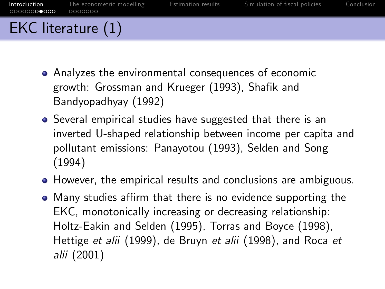- EKC literature (1)
	- Analyzes the environmental consequences of economic growth: Grossman and Krueger (1993), Shafik and Bandyopadhyay (1992)
	- Several empirical studies have suggested that there is an inverted U-shaped relationship between income per capita and pollutant emissions: Panayotou (1993), Selden and Song (1994)
	- However, the empirical results and conclusions are ambiguous.
	- Many studies affirm that there is no evidence supporting the EKC, monotonically increasing or decreasing relationship: Holtz-Eakin and Selden (1995), Torras and Boyce (1998), Hettige et alii (1999), de Bruyn et alii (1998), and Roca et alii (2001)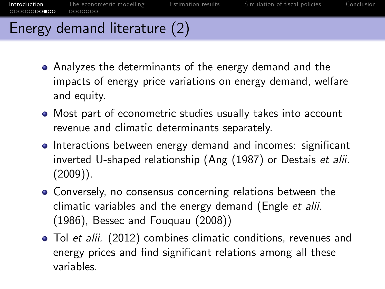# Energy demand literature (2)

- Analyzes the determinants of the energy demand and the impacts of energy price variations on energy demand, welfare and equity.
- Most part of econometric studies usually takes into account revenue and climatic determinants separately.
- **Interactions between energy demand and incomes: significant** inverted U-shaped relationship (Ang (1987) or Destais et alii.  $(2009)$ ).
- Conversely, no consensus concerning relations between the climatic variables and the energy demand (Engle et alii. (1986), Bessec and Fouquau (2008))
- Tol et alii. (2012) combines climatic conditions, revenues and energy prices and find significant relations among all these variables.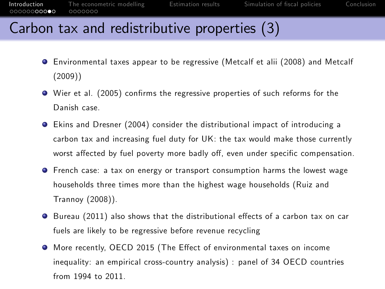## Carbon tax and redistributive properties (3)

- Environmental taxes appear to be regressive (Metcalf et alii (2008) and Metcalf (2009))
- $\bullet$  Wier et al. (2005) confirms the regressive properties of such reforms for the Danish case.
- Ekins and Dresner (2004) consider the distributional impact of introducing a carbon tax and increasing fuel duty for UK: the tax would make those currently worst affected by fuel poverty more badly off, even under specific compensation.
- French case: a tax on energy or transport consumption harms the lowest wage households three times more than the highest wage households (Ruiz and Trannoy (2008)).
- Bureau (2011) also shows that the distributional effects of a carbon tax on car fuels are likely to be regressive before revenue recycling
- More recently, OECD 2015 (The Effect of environmental taxes on income inequality: an empirical cross-country analysis) : panel of 34 OECD countries from 1994 to 2011.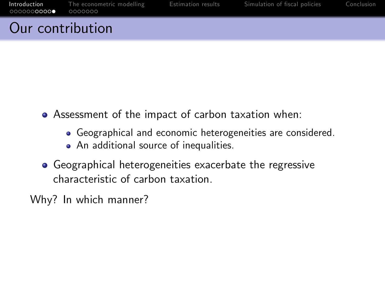## Our contribution

- Assessment of the impact of carbon taxation when:
	- Geographical and economic heterogeneities are considered.
	- An additional source of inequalities.
- Geographical heterogeneities exacerbate the regressive characteristic of carbon taxation.

Why? In which manner?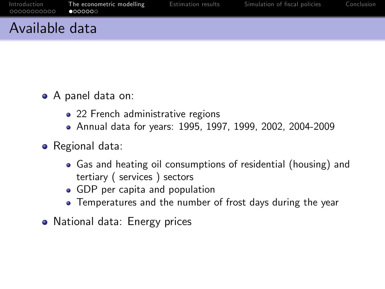## Available data

- A panel data on:
	- 22 French administrative regions
	- Annual data for years: 1995, 1997, 1999, 2002, 2004-2009
- **•** Regional data:
	- Gas and heating oil consumptions of residential (housing) and tertiary ( services ) sectors
	- GDP per capita and population
	- Temperatures and the number of frost days during the year
- <span id="page-12-0"></span>• National data: Energy prices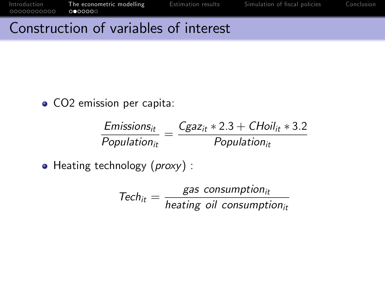00000000000

[Introduction](#page-1-0) [The econometric modelling](#page-12-0) [Estimation results](#page-19-0) Simulation of fiscal policies [Conclusion](#page-28-0)<br>00000000000 0000000

#### Construction of variables of interest

• CO2 emission per capita:

| $E$ missions ${}_{it}$ | $C_{\mathcal{G}}$ az <sub>it</sub> * 2.3 + CHoil <sub>it</sub> * 3.2 |
|------------------------|----------------------------------------------------------------------|
| $Population_{it}$      | $Population_{it}$                                                    |

 $\bullet$  Heating technology ( $proxy$ ) :

 $\text{Tech}_{it} = \frac{\text{gas consumption}_{it}}{\text{heating oil consumption}_{it}}$  $heating$  oil consumption $_{it}$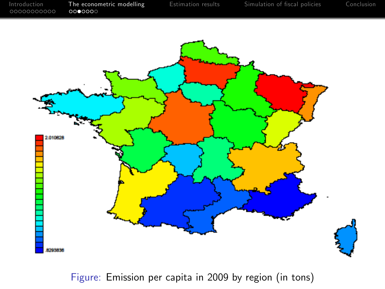

Figure: Emission per capita in 2009 by region (in tons)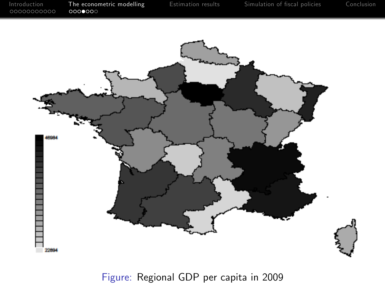

Figure: Regional GDP per capita in 2009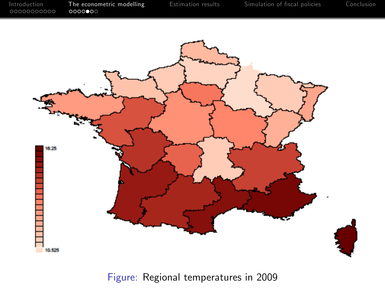

Figure: Regional temperatures in 2009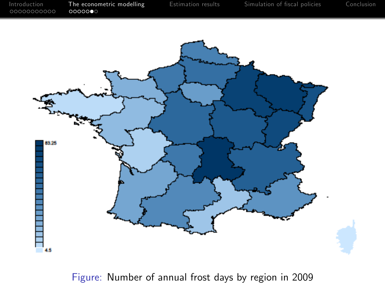

Figure: Number of annual frost days by region in 2009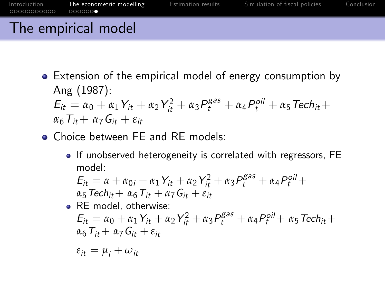# The empirical model

• Extension of the empirical model of energy consumption by Ang (1987):  $E_{it} = \alpha_0 + \alpha_1 Y_{it} + \alpha_2 Y_{it}^2 + \alpha_3 P_t^{gas} + \alpha_4 P_t^{oil} + \alpha_5 Tech_{it} +$ 

$$
\alpha_6 T_{it} + \alpha_7 G_{it} + \varepsilon_{it}
$$

- **Choice between FF and RF models:** 
	- If unobserved heterogeneity is correlated with regressors, FE model:

$$
E_{it} = \alpha + \alpha_{0i} + \alpha_1 Y_{it} + \alpha_2 Y_{it}^2 + \alpha_3 P_t^{\text{gas}} + \alpha_4 P_t^{\text{oil}} +
$$
  

$$
\alpha_5 \text{Techn}_{it} + \alpha_6 T_{it} + \alpha_7 G_{it} + \varepsilon_{it}
$$

RE model, otherwise:  
\n
$$
E_{it} = \alpha_0 + \alpha_1 Y_{it} + \alpha_2 Y_{it}^2 + \alpha_3 P_t^{gas} + \alpha_4 P_t^{oil} + \alpha_5 Tech_{it} + \alpha_6 T_{it} + \alpha_7 G_{it} + \varepsilon_{it}
$$

$$
\varepsilon_{it} = \mu_i + \omega_{it}
$$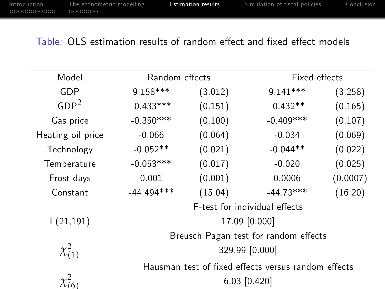#### Table: OLS estimation results of random effect and fixed effect models

<span id="page-19-0"></span>

| Model             | Random effects                                      |         |             | Fixed effects |  |
|-------------------|-----------------------------------------------------|---------|-------------|---------------|--|
| GDP               | $9.158***$                                          | (3.012) | $9.141***$  | (3.258)       |  |
| GDP <sup>2</sup>  | $-0.433***$                                         | (0.151) | $-0.432**$  | (0.165)       |  |
| Gas price         | $-0.350***$                                         | (0.100) | $-0.409***$ | (0.107)       |  |
| Heating oil price | $-0.066$                                            | (0.064) | $-0.034$    | (0.069)       |  |
| Technology        | $-0.052**$                                          | (0.021) | $-0.044**$  | (0.022)       |  |
| Temperature       | $-0.053***$                                         | (0.017) | $-0.020$    | (0.025)       |  |
| Frost days        | 0.001                                               | (0.001) | 0.0006      | (0.0007)      |  |
| Constant          | $-44.494***$                                        | (15.04) | $-44.73***$ | (16.20)       |  |
|                   | F-test for individual effects                       |         |             |               |  |
| F(21, 191)        | 17.09 [0.000]                                       |         |             |               |  |
|                   | Breusch Pagan test for random effects               |         |             |               |  |
| $\chi^2_{(1)}$    | 329.99 [0.000]                                      |         |             |               |  |
|                   | Hausman test of fixed effects versus random effects |         |             |               |  |
|                   | $6.03$ [0.420]                                      |         |             |               |  |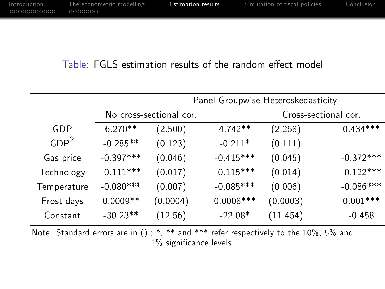#### Table: FGLS estimation results of the random effect model

|             | No cross-sectional cor. |                                                                                                                                         |          | Cross-sectional cor.                                                                                                                                                                                                                                                                                                          |
|-------------|-------------------------|-----------------------------------------------------------------------------------------------------------------------------------------|----------|-------------------------------------------------------------------------------------------------------------------------------------------------------------------------------------------------------------------------------------------------------------------------------------------------------------------------------|
| $6.270**$   | (2.500)                 | $4.742**$                                                                                                                               | (2.268)  | $0.434***$                                                                                                                                                                                                                                                                                                                    |
| $-0.285**$  | (0.123)                 | $-0.211*$                                                                                                                               | (0.111)  |                                                                                                                                                                                                                                                                                                                               |
| $-0.397***$ | (0.046)                 | $-0.415***$                                                                                                                             | (0.045)  | $-0.372***$                                                                                                                                                                                                                                                                                                                   |
| $-0.111***$ | (0.017)                 | $-0.115***$                                                                                                                             | (0.014)  | $-0.122***$                                                                                                                                                                                                                                                                                                                   |
| $-0.080***$ | (0.007)                 | $-0.085***$                                                                                                                             | (0.006)  | $-0.086***$                                                                                                                                                                                                                                                                                                                   |
| $0.0009**$  | (0.0004)                | $0.0008$ ***                                                                                                                            | (0.0003) | $0.001***$                                                                                                                                                                                                                                                                                                                    |
| $-30.23**$  | (12.56)                 | $-22.08*$                                                                                                                               | (11.454) | $-0.458$                                                                                                                                                                                                                                                                                                                      |
|             |                         | the contract of the study of the study of the study of the study of the study of the study of the study of the<br>and the closed of the |          | $\cdot$ , $\cdot$ , $\cdot$ , $\cdot$ , $\cdot$ , $\cdot$ , $\cdot$ , $\cdot$ , $\cdot$ , $\cdot$ , $\cdot$ , $\cdot$ , $\cdot$ , $\cdot$ , $\cdot$ , $\cdot$ , $\cdot$ , $\cdot$ , $\cdot$ , $\cdot$ , $\cdot$ , $\cdot$ , $\cdot$ , $\cdot$ , $\cdot$ , $\cdot$ , $\cdot$ , $\cdot$ , $\cdot$ , $\cdot$ , $\cdot$ , $\cdot$ |

Note: Standard errors are in () ; \*, \*\* and \*\*\* refer respectively to the 10%, 5% and  $1\%$  significance levels.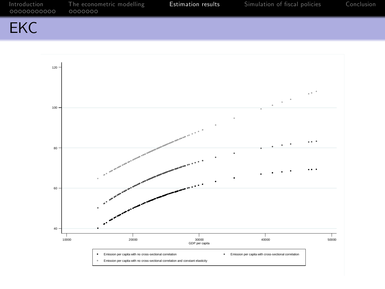| 00000000000 0000000 | Introduction The econometric modelling | Estimation results | Simulation of fiscal policies | Conclusion |
|---------------------|----------------------------------------|--------------------|-------------------------------|------------|
| EKC                 |                                        |                    |                               |            |

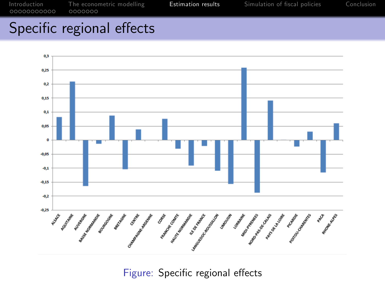# Specific regional effects



Figure: Specific regional effects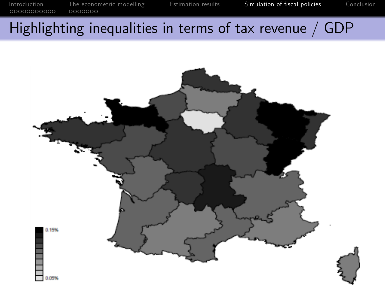# Highlighting inequalities in terms of tax revenue / GDP

<span id="page-23-0"></span>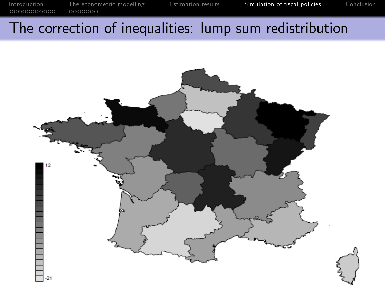# The correction of inequalities: lump sum redistribution

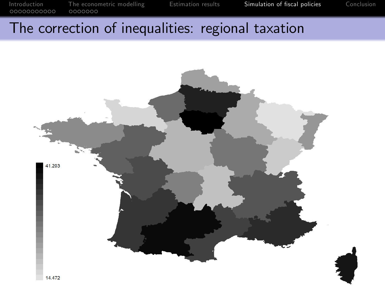# The correction of inequalities: regional taxation

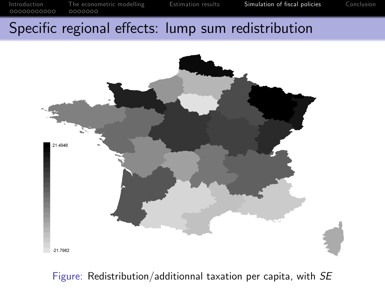### Specific regional effects: lump sum redistribution



Figure: Redistribution/additionnal taxation per capita, with SE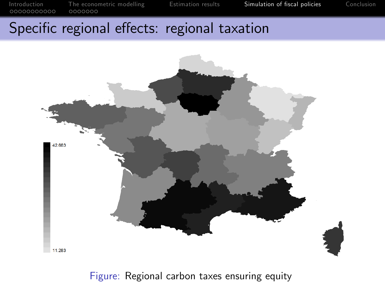#### Specific regional effects: regional taxation



Figure: Regional carbon taxes ensuring equity